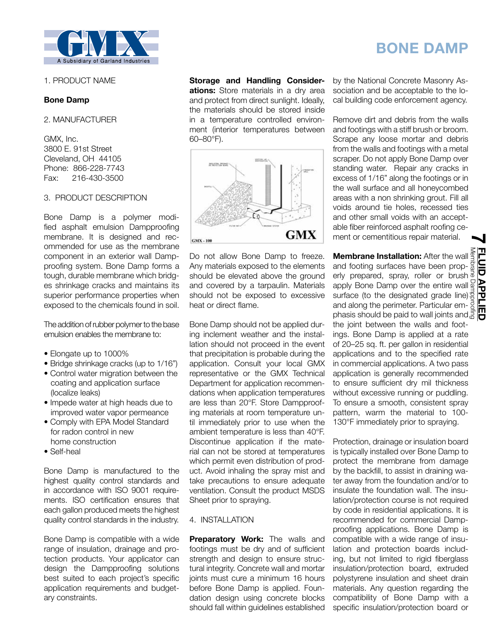

## 1. PRODUCT NAME

### **Bone Damp**

2. MANUFACTURER

GMX, Inc. 3800 E. 91st Street Cleveland, OH 44105 Phone: 866-228-7743 Fax: 216-430-3500

#### 3. PRODUCT DESCRIPTION

Bone Damp is a polymer modified asphalt emulsion Dampproofing membrane. It is designed and recommended for use as the membrane component in an exterior wall Dampproofing system. Bone Damp forms a tough, durable membrane which bridges shrinkage cracks and maintains its superior performance properties when exposed to the chemicals found in soil.

The addition of rubber polymer to the base emulsion enables the membrane to:

- Elongate up to 1000%
- Bridge shrinkage cracks (up to 1/16")
- Control water migration between the coating and application surface (localize leaks)
- Impede water at high heads due to improved water vapor permeance
- Comply with EPA Model Standard for radon control in new home construction
- Self-heal
- 

Bone Damp is manufactured to the highest quality control standards and in accordance with ISO 9001 requirements. ISO certification ensures that each gallon produced meets the highest quality control standards in the industry.

Bone Damp is compatible with a wide range of insulation, drainage and protection products. Your applicator can design the Dampproofing solutions best suited to each project's specific application requirements and budgetary constraints.

**Storage and Handling Considerations:** Store materials in a dry area and protect from direct sunlight. Ideally, the materials should be stored inside in a temperature controlled environment (interior temperatures between 60–80°F).



Do not allow Bone Damp to freeze. Any materials exposed to the elements should be elevated above the ground and covered by a tarpaulin. Materials should not be exposed to excessive heat or direct flame.

Bone Damp should not be applied during inclement weather and the installation should not proceed in the event that precipitation is probable during the application. Consult your local GMX representative or the GMX Technical Department for application recommendations when application temperatures are less than 20°F. Store Dampproofing materials at room temperature until immediately prior to use when the ambient temperature is less than 40°F. Discontinue application if the material can not be stored at temperatures which permit even distribution of product. Avoid inhaling the spray mist and take precautions to ensure adequate ventilation. Consult the product MSDS Sheet prior to spraying.

#### 4. INSTALLATION

**Preparatory Work:** The walls and footings must be dry and of sufficient strength and design to ensure structural integrity. Concrete wall and mortar joints must cure a minimum 16 hours before Bone Damp is applied. Foundation design using concrete blocks should fall within guidelines established by the National Concrete Masonry Association and be acceptable to the local building code enforcement agency.

**BONE DAMP**

Remove dirt and debris from the walls and footings with a stiff brush or broom. Scrape any loose mortar and debris from the walls and footings with a metal scraper. Do not apply Bone Damp over standing water. Repair any cracks in excess of 1/16" along the footings or in the wall surface and all honeycombed areas with a non shrinking grout. Fill all voids around tie holes, recessed ties and other small voids with an acceptable fiber reinforced asphalt roofing cement or cementitious repair material. **7**

**Membrane Installation:** After the wall and footing surfaces have been properly prepared, spray, roller or brush apply Bone Damp over the entire wall surface (to the designated grade line): and along the perimeter. Particular em-**Membrane Installation:** After the wall spand footing surfaces have been prop-<br>erly prepared, spray, roller or brush a paply Bone Damp over the entire wall paper<br>apply Bone Damp over the entire wall paper<br>surface (to the d the joint between the walls and footings. Bone Damp is applied at a rate of 20–25 sq. ft. per gallon in residential applications and to the specified rate in commercial applications. A two pass application is generally recommended to ensure sufficient dry mil thickness without excessive running or puddling. To ensure a smooth, consistent spray pattern, warm the material to 100- 130°F immediately prior to spraying.

Protection, drainage or insulation board is typically installed over Bone Damp to protect the membrane from damage by the backfill, to assist in draining water away from the foundation and/or to insulate the foundation wall. The insulation/protection course is not required by code in residential applications. It is recommended for commercial Dampproofing applications. Bone Damp is compatible with a wide range of insulation and protection boards including, but not limited to rigid fiberglass insulation/protection board, extruded polystyrene insulation and sheet drain materials. Any question regarding the compatibility of Bone Damp with a specific insulation/protection board or